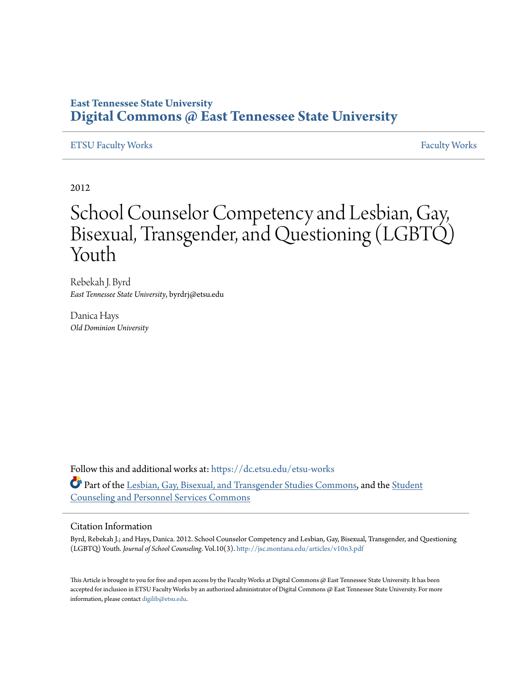### **East Tennessee State University [Digital Commons @ East Tennessee State University](https://dc.etsu.edu?utm_source=dc.etsu.edu%2Fetsu-works%2F884&utm_medium=PDF&utm_campaign=PDFCoverPages)**

#### [ETSU Faculty Works](https://dc.etsu.edu/etsu-works?utm_source=dc.etsu.edu%2Fetsu-works%2F884&utm_medium=PDF&utm_campaign=PDFCoverPages) [Faculty Works](https://dc.etsu.edu/faculty-works?utm_source=dc.etsu.edu%2Fetsu-works%2F884&utm_medium=PDF&utm_campaign=PDFCoverPages)

2012

# School Counselor Competency and Lesbian, Gay, Bisexual, Transgender, and Questioning (LGBTQ) Youth

Rebekah J. Byrd *East Tennessee State University*, byrdrj@etsu.edu

Danica Hays *Old Dominion University*

Follow this and additional works at: [https://dc.etsu.edu/etsu-works](https://dc.etsu.edu/etsu-works?utm_source=dc.etsu.edu%2Fetsu-works%2F884&utm_medium=PDF&utm_campaign=PDFCoverPages) Part of the [Lesbian, Gay, Bisexual, and Transgender Studies Commons,](http://network.bepress.com/hgg/discipline/560?utm_source=dc.etsu.edu%2Fetsu-works%2F884&utm_medium=PDF&utm_campaign=PDFCoverPages) and the [Student](http://network.bepress.com/hgg/discipline/802?utm_source=dc.etsu.edu%2Fetsu-works%2F884&utm_medium=PDF&utm_campaign=PDFCoverPages) [Counseling and Personnel Services Commons](http://network.bepress.com/hgg/discipline/802?utm_source=dc.etsu.edu%2Fetsu-works%2F884&utm_medium=PDF&utm_campaign=PDFCoverPages)

#### Citation Information

Byrd, Rebekah J.; and Hays, Danica. 2012. School Counselor Competency and Lesbian, Gay, Bisexual, Transgender, and Questioning (LGBTQ) Youth. *Journal of School Counseling*. Vol.10(3). <http://jsc.montana.edu/articles/v10n3.pdf>

This Article is brought to you for free and open access by the Faculty Works at Digital Commons @ East Tennessee State University. It has been accepted for inclusion in ETSU Faculty Works by an authorized administrator of Digital Commons @ East Tennessee State University. For more information, please contact [digilib@etsu.edu.](mailto:digilib@etsu.edu)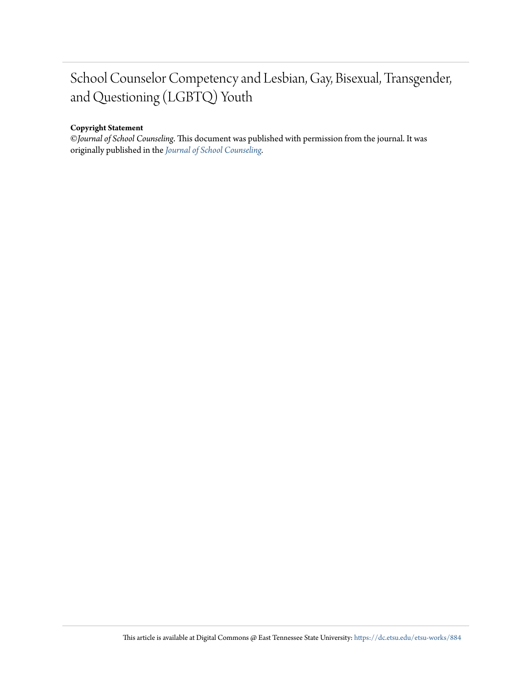## School Counselor Competency and Lesbian, Gay, Bisexual, Transgender, and Questioning (LGBTQ) Youth

#### **Copyright Statement**

©*Journal of School Counseling*. This document was published with permission from the journal. It was originally published in the *[Journal of School Counseling](http://jsc.montana.edu/pages/archives.html#2012).*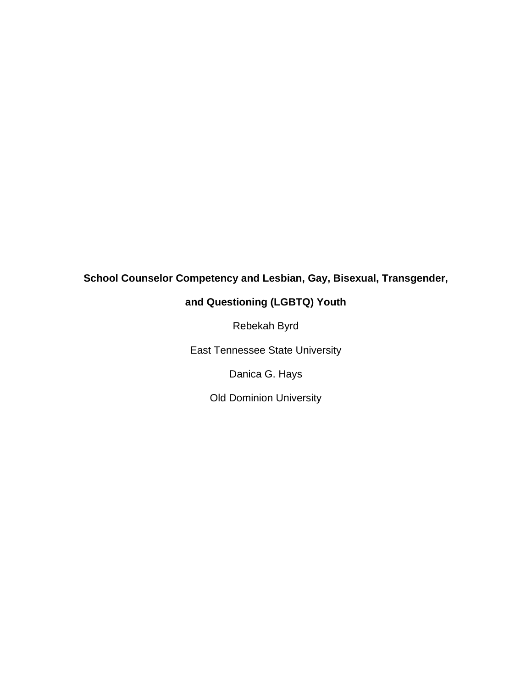### **School Counselor Competency and Lesbian, Gay, Bisexual, Transgender,**

### **and Questioning (LGBTQ) Youth**

Rebekah Byrd

East Tennessee State University

Danica G. Hays

Old Dominion University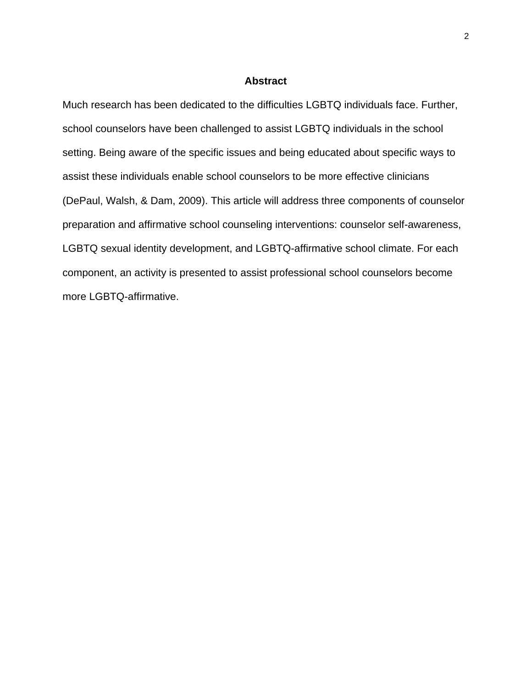#### **Abstract**

Much research has been dedicated to the difficulties LGBTQ individuals face. Further, school counselors have been challenged to assist LGBTQ individuals in the school setting. Being aware of the specific issues and being educated about specific ways to assist these individuals enable school counselors to be more effective clinicians (DePaul, Walsh, & Dam, 2009). This article will address three components of counselor preparation and affirmative school counseling interventions: counselor self-awareness, LGBTQ sexual identity development, and LGBTQ-affirmative school climate. For each component, an activity is presented to assist professional school counselors become more LGBTQ-affirmative.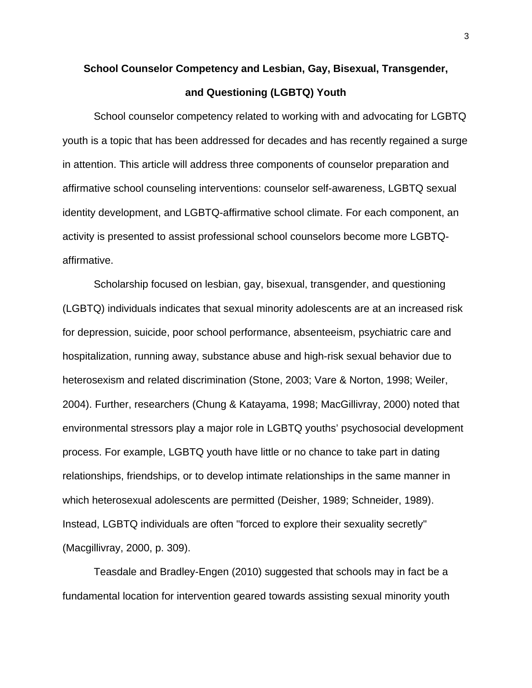## **School Counselor Competency and Lesbian, Gay, Bisexual, Transgender, and Questioning (LGBTQ) Youth**

School counselor competency related to working with and advocating for LGBTQ youth is a topic that has been addressed for decades and has recently regained a surge in attention. This article will address three components of counselor preparation and affirmative school counseling interventions: counselor self-awareness, LGBTQ sexual identity development, and LGBTQ-affirmative school climate. For each component, an activity is presented to assist professional school counselors become more LGBTQaffirmative.

Scholarship focused on lesbian, gay, bisexual, transgender, and questioning (LGBTQ) individuals indicates that sexual minority adolescents are at an increased risk for depression, suicide, poor school performance, absenteeism, psychiatric care and hospitalization, running away, substance abuse and high-risk sexual behavior due to heterosexism and related discrimination (Stone, 2003; Vare & Norton, 1998; Weiler, 2004). Further, researchers (Chung & Katayama, 1998; MacGillivray, 2000) noted that environmental stressors play a major role in LGBTQ youths' psychosocial development process. For example, LGBTQ youth have little or no chance to take part in dating relationships, friendships, or to develop intimate relationships in the same manner in which heterosexual adolescents are permitted (Deisher, 1989; Schneider, 1989). Instead, LGBTQ individuals are often "forced to explore their sexuality secretly" (Macgillivray, 2000, p. 309).

Teasdale and Bradley-Engen (2010) suggested that schools may in fact be a fundamental location for intervention geared towards assisting sexual minority youth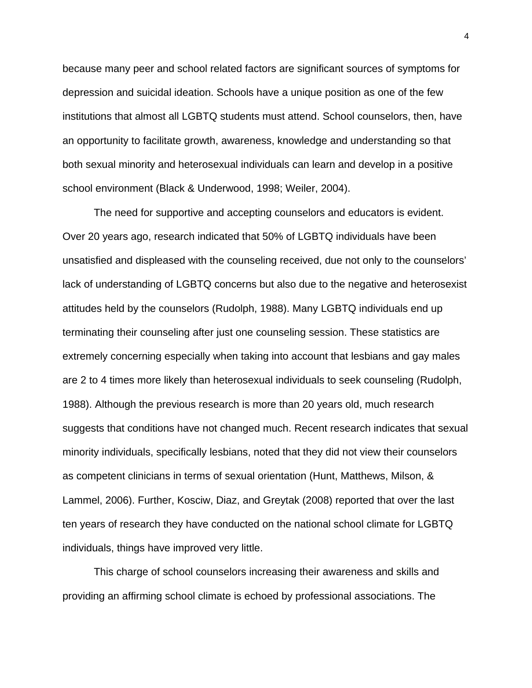because many peer and school related factors are significant sources of symptoms for depression and suicidal ideation. Schools have a unique position as one of the few institutions that almost all LGBTQ students must attend. School counselors, then, have an opportunity to facilitate growth, awareness, knowledge and understanding so that both sexual minority and heterosexual individuals can learn and develop in a positive school environment (Black & Underwood, 1998; Weiler, 2004).

The need for supportive and accepting counselors and educators is evident. Over 20 years ago, research indicated that 50% of LGBTQ individuals have been unsatisfied and displeased with the counseling received, due not only to the counselors' lack of understanding of LGBTQ concerns but also due to the negative and heterosexist attitudes held by the counselors (Rudolph, 1988). Many LGBTQ individuals end up terminating their counseling after just one counseling session. These statistics are extremely concerning especially when taking into account that lesbians and gay males are 2 to 4 times more likely than heterosexual individuals to seek counseling (Rudolph, 1988). Although the previous research is more than 20 years old, much research suggests that conditions have not changed much. Recent research indicates that sexual minority individuals, specifically lesbians, noted that they did not view their counselors as competent clinicians in terms of sexual orientation (Hunt, Matthews, Milson, & Lammel, 2006). Further, Kosciw, Diaz, and Greytak (2008) reported that over the last ten years of research they have conducted on the national school climate for LGBTQ individuals, things have improved very little.

This charge of school counselors increasing their awareness and skills and providing an affirming school climate is echoed by professional associations. The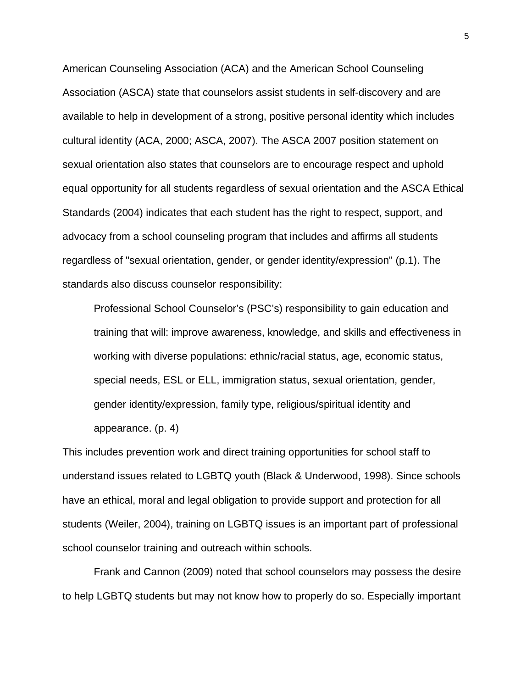American Counseling Association (ACA) and the American School Counseling Association (ASCA) state that counselors assist students in self-discovery and are available to help in development of a strong, positive personal identity which includes cultural identity (ACA, 2000; ASCA, 2007). The ASCA 2007 position statement on sexual orientation also states that counselors are to encourage respect and uphold equal opportunity for all students regardless of sexual orientation and the ASCA Ethical Standards (2004) indicates that each student has the right to respect, support, and advocacy from a school counseling program that includes and affirms all students regardless of "sexual orientation, gender, or gender identity/expression" (p.1). The standards also discuss counselor responsibility:

Professional School Counselor's (PSC's) responsibility to gain education and training that will: improve awareness, knowledge, and skills and effectiveness in working with diverse populations: ethnic/racial status, age, economic status, special needs, ESL or ELL, immigration status, sexual orientation, gender, gender identity/expression, family type, religious/spiritual identity and appearance. (p. 4)

This includes prevention work and direct training opportunities for school staff to understand issues related to LGBTQ youth (Black & Underwood, 1998). Since schools have an ethical, moral and legal obligation to provide support and protection for all students (Weiler, 2004), training on LGBTQ issues is an important part of professional school counselor training and outreach within schools.

Frank and Cannon (2009) noted that school counselors may possess the desire to help LGBTQ students but may not know how to properly do so. Especially important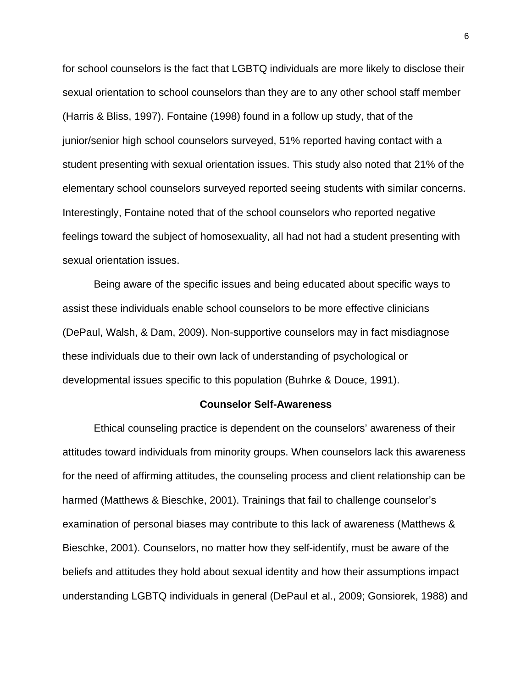for school counselors is the fact that LGBTQ individuals are more likely to disclose their sexual orientation to school counselors than they are to any other school staff member (Harris & Bliss, 1997). Fontaine (1998) found in a follow up study, that of the junior/senior high school counselors surveyed, 51% reported having contact with a student presenting with sexual orientation issues. This study also noted that 21% of the elementary school counselors surveyed reported seeing students with similar concerns. Interestingly, Fontaine noted that of the school counselors who reported negative feelings toward the subject of homosexuality, all had not had a student presenting with sexual orientation issues.

Being aware of the specific issues and being educated about specific ways to assist these individuals enable school counselors to be more effective clinicians (DePaul, Walsh, & Dam, 2009). Non-supportive counselors may in fact misdiagnose these individuals due to their own lack of understanding of psychological or developmental issues specific to this population (Buhrke & Douce, 1991).

#### **Counselor Self-Awareness**

Ethical counseling practice is dependent on the counselors' awareness of their attitudes toward individuals from minority groups. When counselors lack this awareness for the need of affirming attitudes, the counseling process and client relationship can be harmed (Matthews & Bieschke, 2001). Trainings that fail to challenge counselor's examination of personal biases may contribute to this lack of awareness (Matthews & Bieschke, 2001). Counselors, no matter how they self-identify, must be aware of the beliefs and attitudes they hold about sexual identity and how their assumptions impact understanding LGBTQ individuals in general (DePaul et al., 2009; Gonsiorek, 1988) and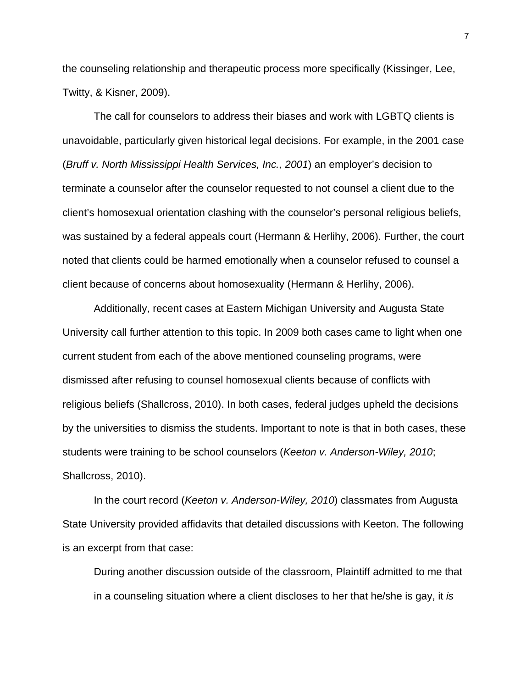the counseling relationship and therapeutic process more specifically (Kissinger, Lee, Twitty, & Kisner, 2009).

The call for counselors to address their biases and work with LGBTQ clients is unavoidable, particularly given historical legal decisions. For example, in the 2001 case (*Bruff v. North Mississippi Health Services, Inc., 2001*) an employer's decision to terminate a counselor after the counselor requested to not counsel a client due to the client's homosexual orientation clashing with the counselor's personal religious beliefs, was sustained by a federal appeals court (Hermann & Herlihy, 2006). Further, the court noted that clients could be harmed emotionally when a counselor refused to counsel a client because of concerns about homosexuality (Hermann & Herlihy, 2006).

Additionally, recent cases at Eastern Michigan University and Augusta State University call further attention to this topic. In 2009 both cases came to light when one current student from each of the above mentioned counseling programs, were dismissed after refusing to counsel homosexual clients because of conflicts with religious beliefs (Shallcross, 2010). In both cases, federal judges upheld the decisions by the universities to dismiss the students. Important to note is that in both cases, these students were training to be school counselors (*Keeton v. Anderson-Wiley, 2010*; Shallcross, 2010).

In the court record (*Keeton v. Anderson-Wiley, 2010*) classmates from Augusta State University provided affidavits that detailed discussions with Keeton. The following is an excerpt from that case:

During another discussion outside of the classroom, Plaintiff admitted to me that in a counseling situation where a client discloses to her that he/she is gay, it *is*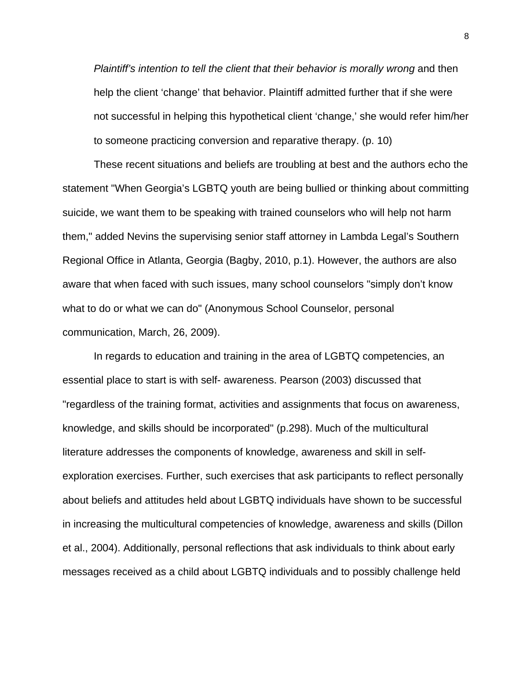*Plaintiff's intention to tell the client that their behavior is morally wrong and then* help the client 'change' that behavior. Plaintiff admitted further that if she were not successful in helping this hypothetical client 'change,' she would refer him/her to someone practicing conversion and reparative therapy. (p. 10)

These recent situations and beliefs are troubling at best and the authors echo the statement "When Georgia's LGBTQ youth are being bullied or thinking about committing suicide, we want them to be speaking with trained counselors who will help not harm them," added Nevins the supervising senior staff attorney in Lambda Legal's Southern Regional Office in Atlanta, Georgia (Bagby, 2010, p.1). However, the authors are also aware that when faced with such issues, many school counselors "simply don't know what to do or what we can do" (Anonymous School Counselor, personal communication, March, 26, 2009).

In regards to education and training in the area of LGBTQ competencies, an essential place to start is with self- awareness. Pearson (2003) discussed that "regardless of the training format, activities and assignments that focus on awareness, knowledge, and skills should be incorporated" (p.298). Much of the multicultural literature addresses the components of knowledge, awareness and skill in selfexploration exercises. Further, such exercises that ask participants to reflect personally about beliefs and attitudes held about LGBTQ individuals have shown to be successful in increasing the multicultural competencies of knowledge, awareness and skills (Dillon et al., 2004). Additionally, personal reflections that ask individuals to think about early messages received as a child about LGBTQ individuals and to possibly challenge held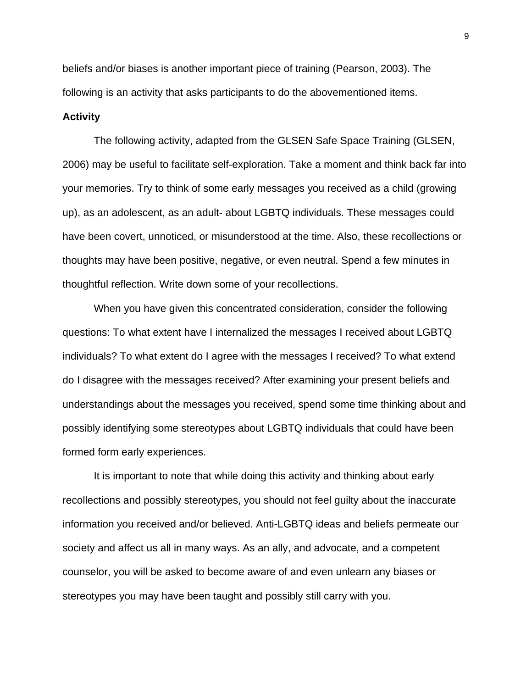beliefs and/or biases is another important piece of training (Pearson, 2003). The following is an activity that asks participants to do the abovementioned items.

#### **Activity**

The following activity, adapted from the GLSEN Safe Space Training (GLSEN, 2006) may be useful to facilitate self-exploration. Take a moment and think back far into your memories. Try to think of some early messages you received as a child (growing up), as an adolescent, as an adult- about LGBTQ individuals. These messages could have been covert, unnoticed, or misunderstood at the time. Also, these recollections or thoughts may have been positive, negative, or even neutral. Spend a few minutes in thoughtful reflection. Write down some of your recollections.

When you have given this concentrated consideration, consider the following questions: To what extent have I internalized the messages I received about LGBTQ individuals? To what extent do I agree with the messages I received? To what extend do I disagree with the messages received? After examining your present beliefs and understandings about the messages you received, spend some time thinking about and possibly identifying some stereotypes about LGBTQ individuals that could have been formed form early experiences.

It is important to note that while doing this activity and thinking about early recollections and possibly stereotypes, you should not feel guilty about the inaccurate information you received and/or believed. Anti-LGBTQ ideas and beliefs permeate our society and affect us all in many ways. As an ally, and advocate, and a competent counselor, you will be asked to become aware of and even unlearn any biases or stereotypes you may have been taught and possibly still carry with you.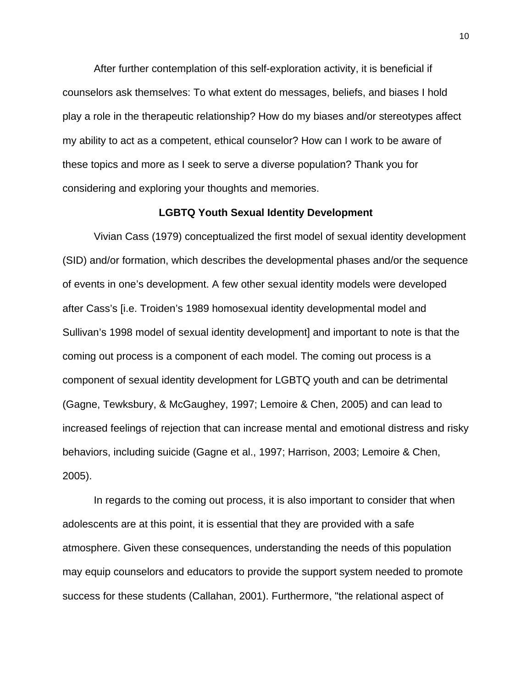After further contemplation of this self-exploration activity, it is beneficial if counselors ask themselves: To what extent do messages, beliefs, and biases I hold play a role in the therapeutic relationship? How do my biases and/or stereotypes affect my ability to act as a competent, ethical counselor? How can I work to be aware of these topics and more as I seek to serve a diverse population? Thank you for considering and exploring your thoughts and memories.

#### **LGBTQ Youth Sexual Identity Development**

Vivian Cass (1979) conceptualized the first model of sexual identity development (SID) and/or formation, which describes the developmental phases and/or the sequence of events in one's development. A few other sexual identity models were developed after Cass's [i.e. Troiden's 1989 homosexual identity developmental model and Sullivan's 1998 model of sexual identity development] and important to note is that the coming out process is a component of each model. The coming out process is a component of sexual identity development for LGBTQ youth and can be detrimental (Gagne, Tewksbury, & McGaughey, 1997; Lemoire & Chen, 2005) and can lead to increased feelings of rejection that can increase mental and emotional distress and risky behaviors, including suicide (Gagne et al., 1997; Harrison, 2003; Lemoire & Chen, 2005).

In regards to the coming out process, it is also important to consider that when adolescents are at this point, it is essential that they are provided with a safe atmosphere. Given these consequences, understanding the needs of this population may equip counselors and educators to provide the support system needed to promote success for these students (Callahan, 2001). Furthermore, "the relational aspect of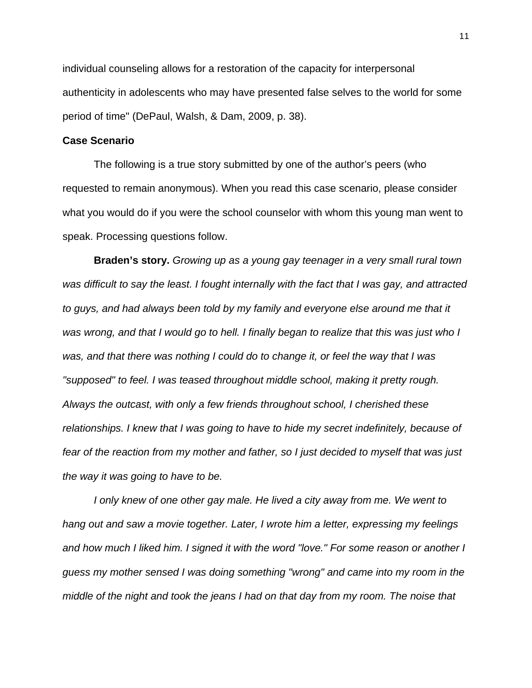individual counseling allows for a restoration of the capacity for interpersonal authenticity in adolescents who may have presented false selves to the world for some period of time" (DePaul, Walsh, & Dam, 2009, p. 38).

#### **Case Scenario**

The following is a true story submitted by one of the author's peers (who requested to remain anonymous). When you read this case scenario, please consider what you would do if you were the school counselor with whom this young man went to speak. Processing questions follow.

**Braden's story.** *Growing up as a young gay teenager in a very small rural town was difficult to say the least. I fought internally with the fact that I was gay, and attracted to guys, and had always been told by my family and everyone else around me that it was wrong, and that I would go to hell. I finally began to realize that this was just who I was, and that there was nothing I could do to change it, or feel the way that I was "supposed" to feel. I was teased throughout middle school, making it pretty rough. Always the outcast, with only a few friends throughout school, I cherished these relationships. I knew that I was going to have to hide my secret indefinitely, because of fear of the reaction from my mother and father, so I just decided to myself that was just the way it was going to have to be.* 

*I* only knew of one other gay male. He lived a city away from me. We went to *hang out and saw a movie together. Later, I wrote him a letter, expressing my feelings and how much I liked him. I signed it with the word "love." For some reason or another I guess my mother sensed I was doing something "wrong" and came into my room in the middle of the night and took the jeans I had on that day from my room. The noise that*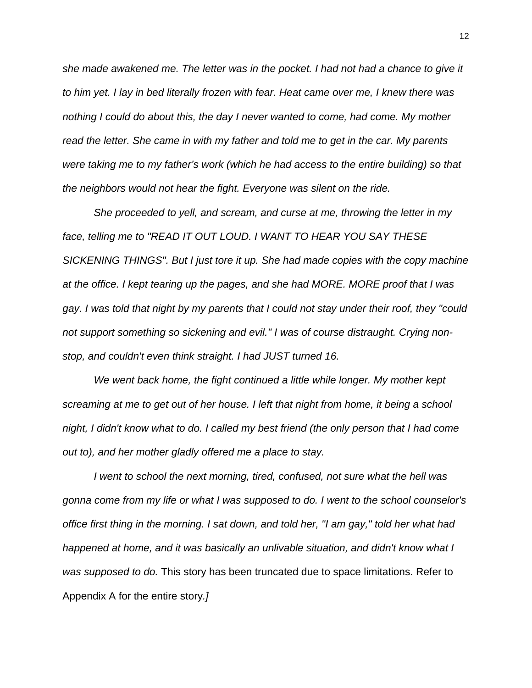*she made awakened me. The letter was in the pocket. I had not had a chance to give it to him yet. I lay in bed literally frozen with fear. Heat came over me, I knew there was nothing I could do about this, the day I never wanted to come, had come. My mother read the letter. She came in with my father and told me to get in the car. My parents were taking me to my father's work (which he had access to the entire building) so that the neighbors would not hear the fight. Everyone was silent on the ride.* 

*She proceeded to yell, and scream, and curse at me, throwing the letter in my face, telling me to "READ IT OUT LOUD. I WANT TO HEAR YOU SAY THESE SICKENING THINGS". But I just tore it up. She had made copies with the copy machine at the office. I kept tearing up the pages, and she had MORE. MORE proof that I was gay. I was told that night by my parents that I could not stay under their roof, they "could not support something so sickening and evil." I was of course distraught. Crying nonstop, and couldn't even think straight. I had JUST turned 16.* 

*We went back home, the fight continued a little while longer. My mother kept screaming at me to get out of her house. I left that night from home, it being a school night, I didn't know what to do. I called my best friend (the only person that I had come out to), and her mother gladly offered me a place to stay.* 

*I went to school the next morning, tired, confused, not sure what the hell was gonna come from my life or what I was supposed to do. I went to the school counselor's office first thing in the morning. I sat down, and told her, "I am gay," told her what had happened at home, and it was basically an unlivable situation, and didn't know what I was supposed to do.* This story has been truncated due to space limitations. Refer to Appendix A for the entire story*.]*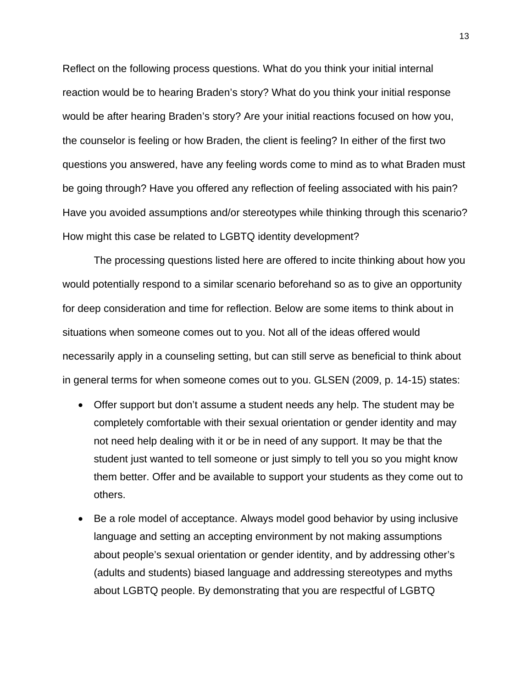Reflect on the following process questions. What do you think your initial internal reaction would be to hearing Braden's story? What do you think your initial response would be after hearing Braden's story? Are your initial reactions focused on how you, the counselor is feeling or how Braden, the client is feeling? In either of the first two questions you answered, have any feeling words come to mind as to what Braden must be going through? Have you offered any reflection of feeling associated with his pain? Have you avoided assumptions and/or stereotypes while thinking through this scenario? How might this case be related to LGBTQ identity development?

The processing questions listed here are offered to incite thinking about how you would potentially respond to a similar scenario beforehand so as to give an opportunity for deep consideration and time for reflection. Below are some items to think about in situations when someone comes out to you. Not all of the ideas offered would necessarily apply in a counseling setting, but can still serve as beneficial to think about in general terms for when someone comes out to you. GLSEN (2009, p. 14-15) states:

- Offer support but don't assume a student needs any help. The student may be completely comfortable with their sexual orientation or gender identity and may not need help dealing with it or be in need of any support. It may be that the student just wanted to tell someone or just simply to tell you so you might know them better. Offer and be available to support your students as they come out to others.
- Be a role model of acceptance. Always model good behavior by using inclusive language and setting an accepting environment by not making assumptions about people's sexual orientation or gender identity, and by addressing other's (adults and students) biased language and addressing stereotypes and myths about LGBTQ people. By demonstrating that you are respectful of LGBTQ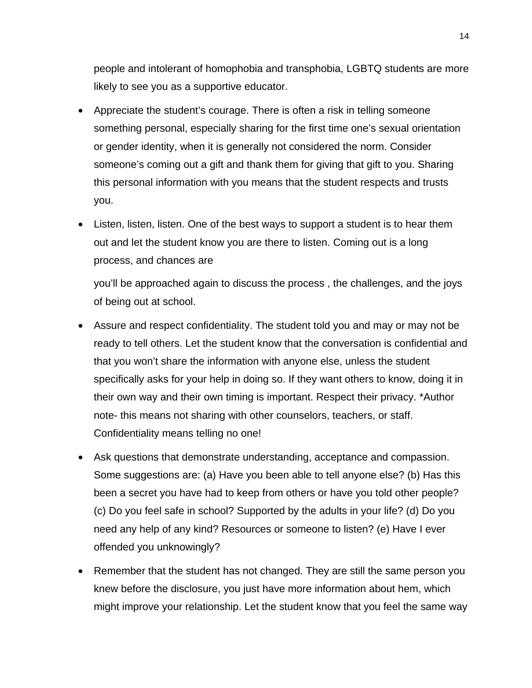people and intolerant of homophobia and transphobia, LGBTQ students are more likely to see you as a supportive educator.

- Appreciate the student's courage. There is often a risk in telling someone something personal, especially sharing for the first time one's sexual orientation or gender identity, when it is generally not considered the norm. Consider someone's coming out a gift and thank them for giving that gift to you. Sharing this personal information with you means that the student respects and trusts you.
- Listen, listen, listen. One of the best ways to support a student is to hear them out and let the student know you are there to listen. Coming out is a long process, and chances are

you'll be approached again to discuss the process , the challenges, and the joys of being out at school.

- Assure and respect confidentiality. The student told you and may or may not be ready to tell others. Let the student know that the conversation is confidential and that you won't share the information with anyone else, unless the student specifically asks for your help in doing so. If they want others to know, doing it in their own way and their own timing is important. Respect their privacy. \*Author note- this means not sharing with other counselors, teachers, or staff. Confidentiality means telling no one!
- Ask questions that demonstrate understanding, acceptance and compassion. Some suggestions are: (a) Have you been able to tell anyone else? (b) Has this been a secret you have had to keep from others or have you told other people? (c) Do you feel safe in school? Supported by the adults in your life? (d) Do you need any help of any kind? Resources or someone to listen? (e) Have I ever offended you unknowingly?
- Remember that the student has not changed. They are still the same person you knew before the disclosure, you just have more information about hem, which might improve your relationship. Let the student know that you feel the same way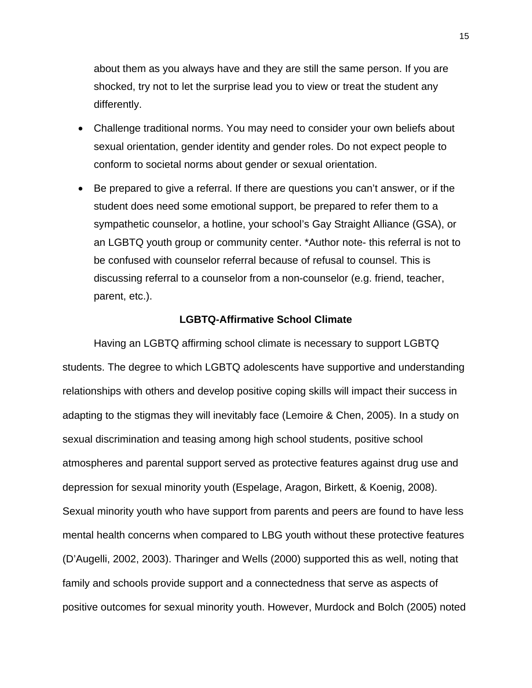about them as you always have and they are still the same person. If you are shocked, try not to let the surprise lead you to view or treat the student any differently.

- Challenge traditional norms. You may need to consider your own beliefs about sexual orientation, gender identity and gender roles. Do not expect people to conform to societal norms about gender or sexual orientation.
- Be prepared to give a referral. If there are questions you can't answer, or if the student does need some emotional support, be prepared to refer them to a sympathetic counselor, a hotline, your school's Gay Straight Alliance (GSA), or an LGBTQ youth group or community center. \*Author note- this referral is not to be confused with counselor referral because of refusal to counsel. This is discussing referral to a counselor from a non-counselor (e.g. friend, teacher, parent, etc.).

#### **LGBTQ-Affirmative School Climate**

Having an LGBTQ affirming school climate is necessary to support LGBTQ students. The degree to which LGBTQ adolescents have supportive and understanding relationships with others and develop positive coping skills will impact their success in adapting to the stigmas they will inevitably face (Lemoire & Chen, 2005). In a study on sexual discrimination and teasing among high school students, positive school atmospheres and parental support served as protective features against drug use and depression for sexual minority youth (Espelage, Aragon, Birkett, & Koenig, 2008). Sexual minority youth who have support from parents and peers are found to have less mental health concerns when compared to LBG youth without these protective features (D'Augelli, 2002, 2003). Tharinger and Wells (2000) supported this as well, noting that family and schools provide support and a connectedness that serve as aspects of positive outcomes for sexual minority youth. However, Murdock and Bolch (2005) noted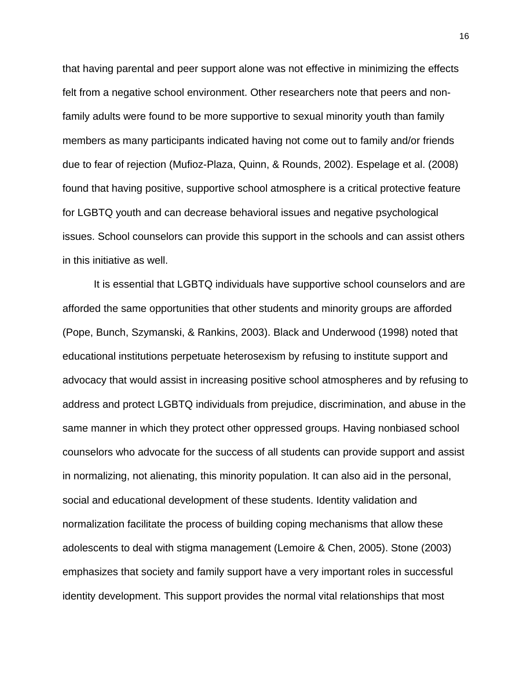that having parental and peer support alone was not effective in minimizing the effects felt from a negative school environment. Other researchers note that peers and nonfamily adults were found to be more supportive to sexual minority youth than family members as many participants indicated having not come out to family and/or friends due to fear of rejection (Mufioz-Plaza, Quinn, & Rounds, 2002). Espelage et al. (2008) found that having positive, supportive school atmosphere is a critical protective feature for LGBTQ youth and can decrease behavioral issues and negative psychological issues. School counselors can provide this support in the schools and can assist others in this initiative as well.

It is essential that LGBTQ individuals have supportive school counselors and are afforded the same opportunities that other students and minority groups are afforded (Pope, Bunch, Szymanski, & Rankins, 2003). Black and Underwood (1998) noted that educational institutions perpetuate heterosexism by refusing to institute support and advocacy that would assist in increasing positive school atmospheres and by refusing to address and protect LGBTQ individuals from prejudice, discrimination, and abuse in the same manner in which they protect other oppressed groups. Having nonbiased school counselors who advocate for the success of all students can provide support and assist in normalizing, not alienating, this minority population. It can also aid in the personal, social and educational development of these students. Identity validation and normalization facilitate the process of building coping mechanisms that allow these adolescents to deal with stigma management (Lemoire & Chen, 2005). Stone (2003) emphasizes that society and family support have a very important roles in successful identity development. This support provides the normal vital relationships that most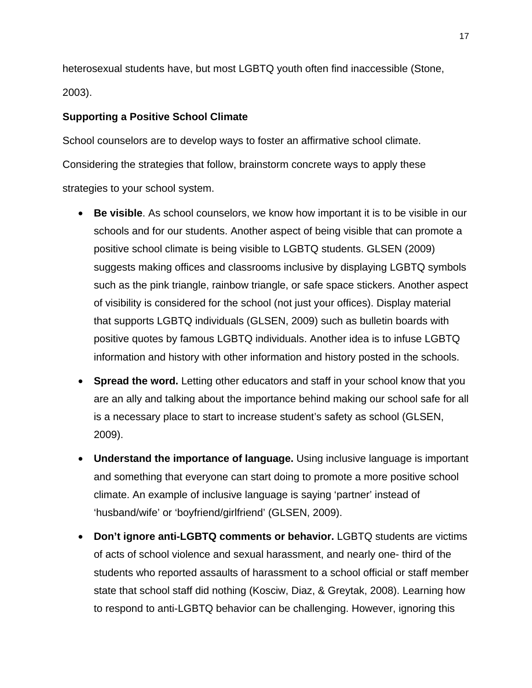heterosexual students have, but most LGBTQ youth often find inaccessible (Stone, 2003).

#### **Supporting a Positive School Climate**

School counselors are to develop ways to foster an affirmative school climate. Considering the strategies that follow, brainstorm concrete ways to apply these strategies to your school system.

- **Be visible**. As school counselors, we know how important it is to be visible in our schools and for our students. Another aspect of being visible that can promote a positive school climate is being visible to LGBTQ students. GLSEN (2009) suggests making offices and classrooms inclusive by displaying LGBTQ symbols such as the pink triangle, rainbow triangle, or safe space stickers. Another aspect of visibility is considered for the school (not just your offices). Display material that supports LGBTQ individuals (GLSEN, 2009) such as bulletin boards with positive quotes by famous LGBTQ individuals. Another idea is to infuse LGBTQ information and history with other information and history posted in the schools.
- **Spread the word.** Letting other educators and staff in your school know that you are an ally and talking about the importance behind making our school safe for all is a necessary place to start to increase student's safety as school (GLSEN, 2009).
- **Understand the importance of language.** Using inclusive language is important and something that everyone can start doing to promote a more positive school climate. An example of inclusive language is saying 'partner' instead of 'husband/wife' or 'boyfriend/girlfriend' (GLSEN, 2009).
- **Don't ignore anti-LGBTQ comments or behavior.** LGBTQ students are victims of acts of school violence and sexual harassment, and nearly one- third of the students who reported assaults of harassment to a school official or staff member state that school staff did nothing (Kosciw, Diaz, & Greytak, 2008). Learning how to respond to anti-LGBTQ behavior can be challenging. However, ignoring this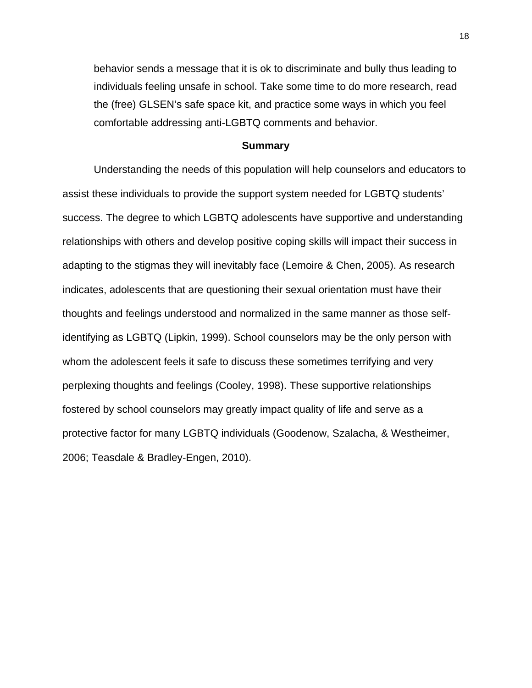behavior sends a message that it is ok to discriminate and bully thus leading to individuals feeling unsafe in school. Take some time to do more research, read the (free) GLSEN's safe space kit, and practice some ways in which you feel comfortable addressing anti-LGBTQ comments and behavior.

#### **Summary**

Understanding the needs of this population will help counselors and educators to assist these individuals to provide the support system needed for LGBTQ students' success. The degree to which LGBTQ adolescents have supportive and understanding relationships with others and develop positive coping skills will impact their success in adapting to the stigmas they will inevitably face (Lemoire & Chen, 2005). As research indicates, adolescents that are questioning their sexual orientation must have their thoughts and feelings understood and normalized in the same manner as those selfidentifying as LGBTQ (Lipkin, 1999). School counselors may be the only person with whom the adolescent feels it safe to discuss these sometimes terrifying and very perplexing thoughts and feelings (Cooley, 1998). These supportive relationships fostered by school counselors may greatly impact quality of life and serve as a protective factor for many LGBTQ individuals (Goodenow, Szalacha, & Westheimer, 2006; Teasdale & Bradley-Engen, 2010).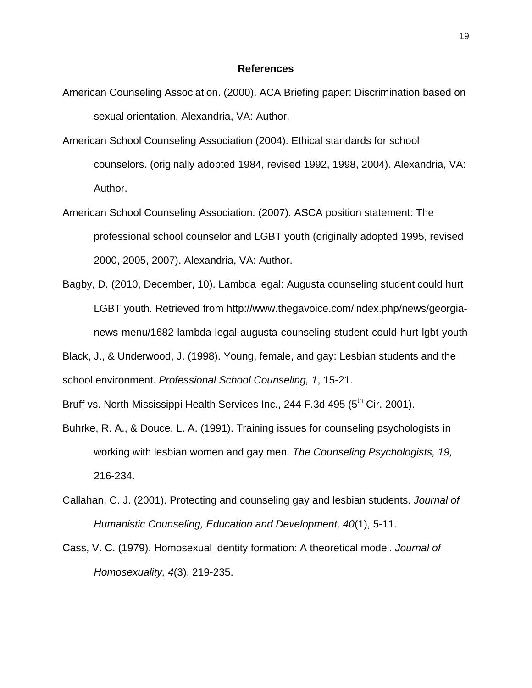#### **References**

- American Counseling Association. (2000). ACA Briefing paper: Discrimination based on sexual orientation. Alexandria, VA: Author.
- American School Counseling Association (2004). Ethical standards for school counselors. (originally adopted 1984, revised 1992, 1998, 2004). Alexandria, VA: Author.
- American School Counseling Association. (2007). ASCA position statement: The professional school counselor and LGBT youth (originally adopted 1995, revised 2000, 2005, 2007). Alexandria, VA: Author.
- Bagby, D. (2010, December, 10). Lambda legal: Augusta counseling student could hurt LGBT youth. Retrieved from http://www.thegavoice.com/index.php/news/georgianews-menu/1682-lambda-legal-augusta-counseling-student-could-hurt-lgbt-youth

Black, J., & Underwood, J. (1998). Young, female, and gay: Lesbian students and the school environment. *Professional School Counseling, 1*, 15-21.

Bruff vs. North Mississippi Health Services Inc., 244 F.3d 495 ( $5<sup>th</sup>$  Cir. 2001).

- Buhrke, R. A., & Douce, L. A. (1991). Training issues for counseling psychologists in working with lesbian women and gay men. *The Counseling Psychologists, 19,* 216-234.
- Callahan, C. J. (2001). Protecting and counseling gay and lesbian students. *Journal of Humanistic Counseling, Education and Development, 40*(1), 5-11.
- Cass, V. C. (1979). Homosexual identity formation: A theoretical model. *Journal of Homosexuality, 4*(3), 219-235.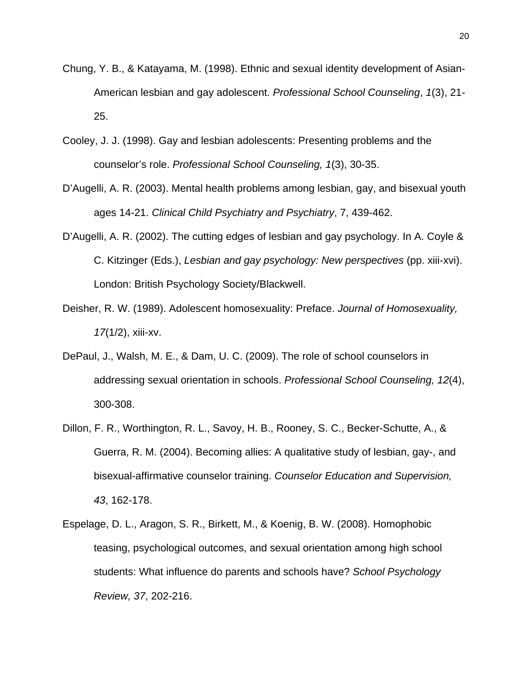- Chung, Y. B., & Katayama, M. (1998). Ethnic and sexual identity development of Asian-American lesbian and gay adolescent. *Professional School Counseling*, *1*(3), 21- 25.
- Cooley, J. J. (1998). Gay and lesbian adolescents: Presenting problems and the counselor's role. *Professional School Counseling, 1*(3), 30-35.
- D'Augelli, A. R. (2003). Mental health problems among lesbian, gay, and bisexual youth ages 14-21. *Clinical Child Psychiatry and Psychiatry*, 7, 439-462.
- D'Augelli, A. R. (2002). The cutting edges of lesbian and gay psychology. In A. Coyle & C. Kitzinger (Eds.), *Lesbian and gay psychology: New perspectives* (pp. xiii-xvi). London: British Psychology Society/Blackwell.
- Deisher, R. W. (1989). Adolescent homosexuality: Preface. *Journal of Homosexuality, 17*(1/2), xiii-xv.
- DePaul, J., Walsh, M. E., & Dam, U. C. (2009). The role of school counselors in addressing sexual orientation in schools. *Professional School Counseling, 12*(4), 300-308.
- Dillon, F. R., Worthington, R. L., Savoy, H. B., Rooney, S. C., Becker-Schutte, A., & Guerra, R. M. (2004). Becoming allies: A qualitative study of lesbian, gay-, and bisexual-affirmative counselor training. *Counselor Education and Supervision, 43*, 162-178.
- Espelage, D. L., Aragon, S. R., Birkett, M., & Koenig, B. W. (2008). Homophobic teasing, psychological outcomes, and sexual orientation among high school students: What influence do parents and schools have? *School Psychology Review, 37*, 202-216.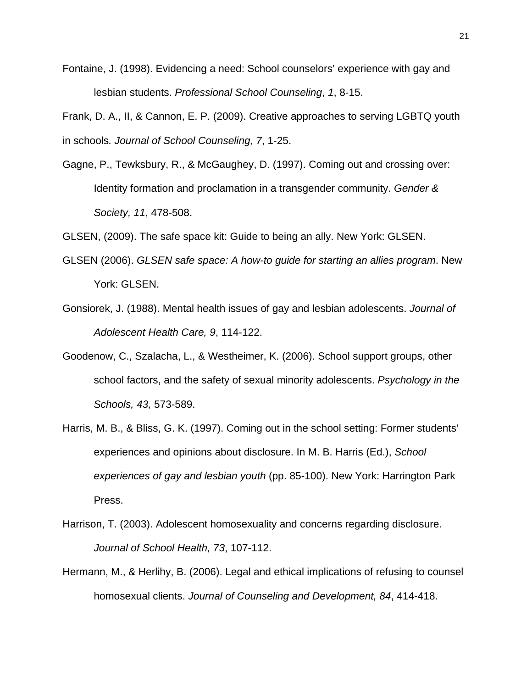- Fontaine, J. (1998). Evidencing a need: School counselors' experience with gay and lesbian students. *Professional School Counseling*, *1*, 8-15.
- Frank, D. A., II, & Cannon, E. P. (2009). Creative approaches to serving LGBTQ youth in schools*. Journal of School Counseling, 7*, 1-25.
- Gagne, P., Tewksbury, R., & McGaughey, D. (1997). Coming out and crossing over: Identity formation and proclamation in a transgender community. *Gender & Society, 11*, 478-508.

GLSEN, (2009). The safe space kit: Guide to being an ally. New York: GLSEN.

- GLSEN (2006). *GLSEN safe space: A how-to guide for starting an allies program*. New York: GLSEN.
- Gonsiorek, J. (1988). Mental health issues of gay and lesbian adolescents. *Journal of Adolescent Health Care, 9*, 114-122.
- Goodenow, C., Szalacha, L., & Westheimer, K. (2006). School support groups, other school factors, and the safety of sexual minority adolescents. *Psychology in the Schools, 43,* 573-589.
- Harris, M. B., & Bliss, G. K. (1997). Coming out in the school setting: Former students' experiences and opinions about disclosure. In M. B. Harris (Ed.), *School experiences of gay and lesbian youth* (pp. 85-100). New York: Harrington Park Press.
- Harrison, T. (2003). Adolescent homosexuality and concerns regarding disclosure. *Journal of School Health, 73*, 107-112.
- Hermann, M., & Herlihy, B. (2006). Legal and ethical implications of refusing to counsel homosexual clients. *Journal of Counseling and Development, 84*, 414-418.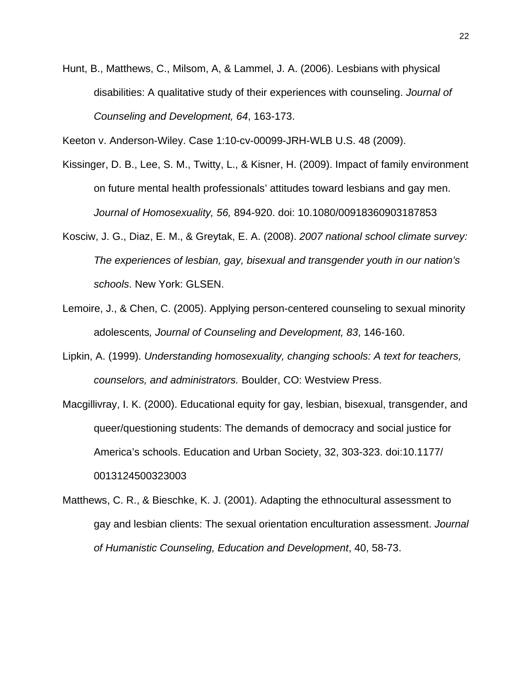Hunt, B., Matthews, C., Milsom, A, & Lammel, J. A. (2006). Lesbians with physical disabilities: A qualitative study of their experiences with counseling. *Journal of Counseling and Development, 64*, 163-173.

Keeton v. Anderson-Wiley. Case 1:10-cv-00099-JRH-WLB U.S. 48 (2009).

- Kissinger, D. B., Lee, S. M., Twitty, L., & Kisner, H. (2009). Impact of family environment on future mental health professionals' attitudes toward lesbians and gay men. *Journal of Homosexuality, 56,* 894-920. doi: 10.1080/00918360903187853
- Kosciw, J. G., Diaz, E. M., & Greytak, E. A. (2008). *2007 national school climate survey: The experiences of lesbian, gay, bisexual and transgender youth in our nation's schools*. New York: GLSEN.
- Lemoire, J., & Chen, C. (2005). Applying person-centered counseling to sexual minority adolescents*, Journal of Counseling and Development, 83*, 146-160.
- Lipkin, A. (1999). *Understanding homosexuality, changing schools: A text for teachers, counselors, and administrators.* Boulder, CO: Westview Press.
- Macgillivray, I. K. (2000). Educational equity for gay, lesbian, bisexual, transgender, and queer/questioning students: The demands of democracy and social justice for America's schools. Education and Urban Society, 32, 303-323. doi:10.1177/ 0013124500323003
- Matthews, C. R., & Bieschke, K. J. (2001). Adapting the ethnocultural assessment to gay and lesbian clients: The sexual orientation enculturation assessment. *Journal of Humanistic Counseling, Education and Development*, 40, 58-73.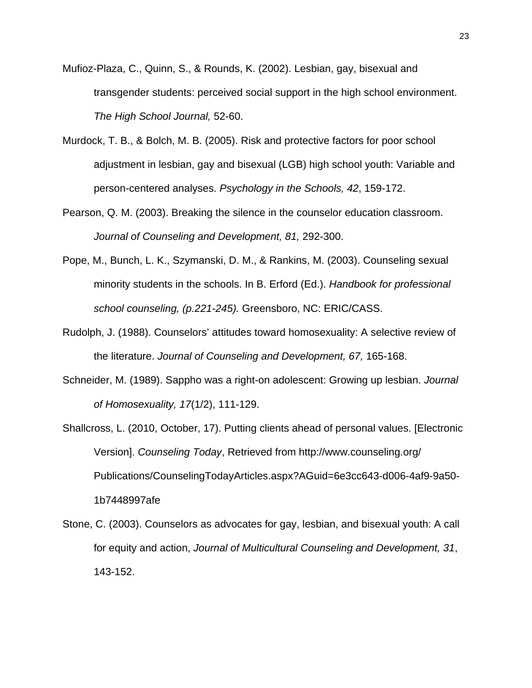- Mufioz-Plaza, C., Quinn, S., & Rounds, K. (2002). Lesbian, gay, bisexual and transgender students: perceived social support in the high school environment. *The High School Journal,* 52-60.
- Murdock, T. B., & Bolch, M. B. (2005). Risk and protective factors for poor school adjustment in lesbian, gay and bisexual (LGB) high school youth: Variable and person-centered analyses. *Psychology in the Schools, 42*, 159-172.
- Pearson, Q. M. (2003). Breaking the silence in the counselor education classroom. *Journal of Counseling and Development, 81,* 292-300.
- Pope, M., Bunch, L. K., Szymanski, D. M., & Rankins, M. (2003). Counseling sexual minority students in the schools. In B. Erford (Ed.). *Handbook for professional school counseling, (p.221-245).* Greensboro, NC: ERIC/CASS.
- Rudolph, J. (1988). Counselors' attitudes toward homosexuality: A selective review of the literature. *Journal of Counseling and Development, 67,* 165-168.
- Schneider, M. (1989). Sappho was a right-on adolescent: Growing up lesbian. *Journal of Homosexuality, 17*(1/2), 111-129.
- Shallcross, L. (2010, October, 17). Putting clients ahead of personal values. [Electronic Version]. *Counseling Today*, Retrieved from http://www.counseling.org/ Publications/CounselingTodayArticles.aspx?AGuid=6e3cc643-d006-4af9-9a50- 1b7448997afe
- Stone, C. (2003). Counselors as advocates for gay, lesbian, and bisexual youth: A call for equity and action, *Journal of Multicultural Counseling and Development, 31*, 143-152.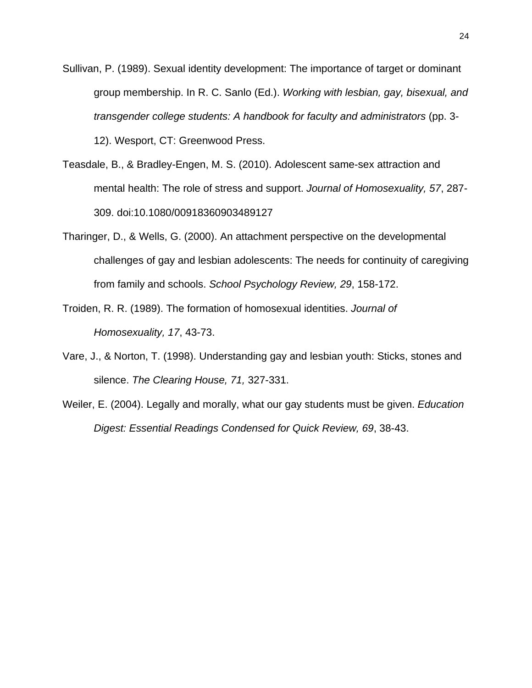- Sullivan, P. (1989). Sexual identity development: The importance of target or dominant group membership. In R. C. Sanlo (Ed.). *Working with lesbian, gay, bisexual, and transgender college students: A handbook for faculty and administrators* (pp. 3- 12). Wesport, CT: Greenwood Press.
- Teasdale, B., & Bradley-Engen, M. S. (2010). Adolescent same-sex attraction and mental health: The role of stress and support. *Journal of Homosexuality, 57*, 287- 309. doi:10.1080/00918360903489127
- Tharinger, D., & Wells, G. (2000). An attachment perspective on the developmental challenges of gay and lesbian adolescents: The needs for continuity of caregiving from family and schools. *School Psychology Review, 29*, 158-172.
- Troiden, R. R. (1989). The formation of homosexual identities. *Journal of Homosexuality, 17*, 43-73.
- Vare, J., & Norton, T. (1998). Understanding gay and lesbian youth: Sticks, stones and silence. *The Clearing House, 71,* 327-331.
- Weiler, E. (2004). Legally and morally, what our gay students must be given. *Education Digest: Essential Readings Condensed for Quick Review, 69*, 38-43.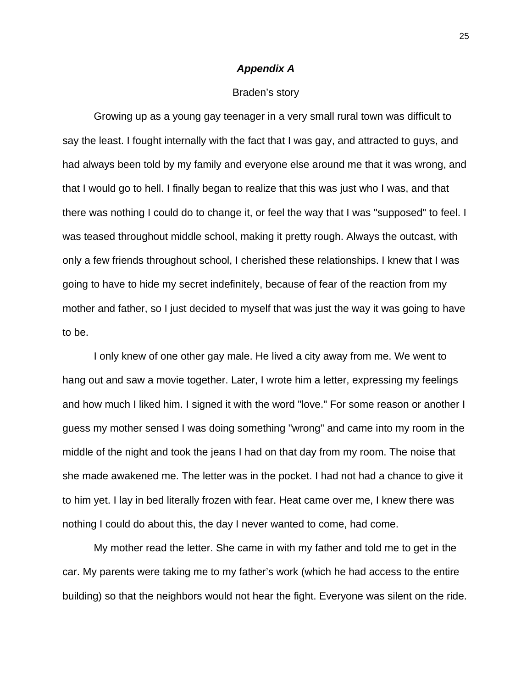#### *Appendix A*

#### Braden's story

Growing up as a young gay teenager in a very small rural town was difficult to say the least. I fought internally with the fact that I was gay, and attracted to guys, and had always been told by my family and everyone else around me that it was wrong, and that I would go to hell. I finally began to realize that this was just who I was, and that there was nothing I could do to change it, or feel the way that I was "supposed" to feel. I was teased throughout middle school, making it pretty rough. Always the outcast, with only a few friends throughout school, I cherished these relationships. I knew that I was going to have to hide my secret indefinitely, because of fear of the reaction from my mother and father, so I just decided to myself that was just the way it was going to have to be.

I only knew of one other gay male. He lived a city away from me. We went to hang out and saw a movie together. Later, I wrote him a letter, expressing my feelings and how much I liked him. I signed it with the word "love." For some reason or another I guess my mother sensed I was doing something "wrong" and came into my room in the middle of the night and took the jeans I had on that day from my room. The noise that she made awakened me. The letter was in the pocket. I had not had a chance to give it to him yet. I lay in bed literally frozen with fear. Heat came over me, I knew there was nothing I could do about this, the day I never wanted to come, had come.

My mother read the letter. She came in with my father and told me to get in the car. My parents were taking me to my father's work (which he had access to the entire building) so that the neighbors would not hear the fight. Everyone was silent on the ride.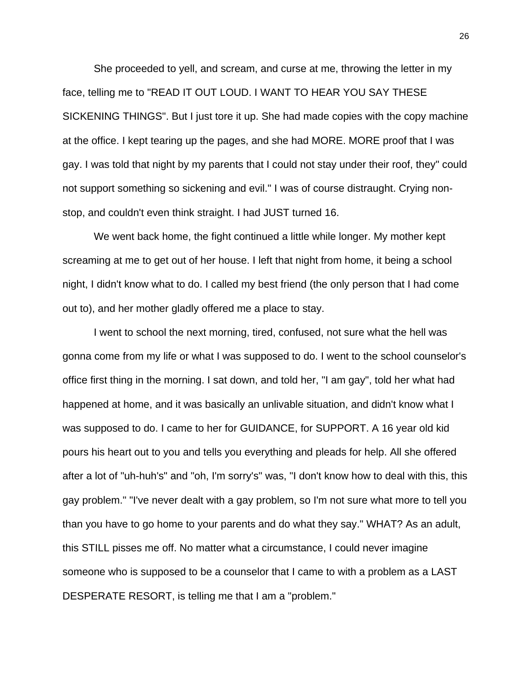She proceeded to yell, and scream, and curse at me, throwing the letter in my face, telling me to "READ IT OUT LOUD. I WANT TO HEAR YOU SAY THESE SICKENING THINGS". But I just tore it up. She had made copies with the copy machine at the office. I kept tearing up the pages, and she had MORE. MORE proof that I was gay. I was told that night by my parents that I could not stay under their roof, they" could not support something so sickening and evil." I was of course distraught. Crying nonstop, and couldn't even think straight. I had JUST turned 16.

We went back home, the fight continued a little while longer. My mother kept screaming at me to get out of her house. I left that night from home, it being a school night, I didn't know what to do. I called my best friend (the only person that I had come out to), and her mother gladly offered me a place to stay.

I went to school the next morning, tired, confused, not sure what the hell was gonna come from my life or what I was supposed to do. I went to the school counselor's office first thing in the morning. I sat down, and told her, "I am gay", told her what had happened at home, and it was basically an unlivable situation, and didn't know what I was supposed to do. I came to her for GUIDANCE, for SUPPORT. A 16 year old kid pours his heart out to you and tells you everything and pleads for help. All she offered after a lot of "uh-huh's" and "oh, I'm sorry's" was, "I don't know how to deal with this, this gay problem." "I've never dealt with a gay problem, so I'm not sure what more to tell you than you have to go home to your parents and do what they say." WHAT? As an adult, this STILL pisses me off. No matter what a circumstance, I could never imagine someone who is supposed to be a counselor that I came to with a problem as a LAST DESPERATE RESORT, is telling me that I am a "problem."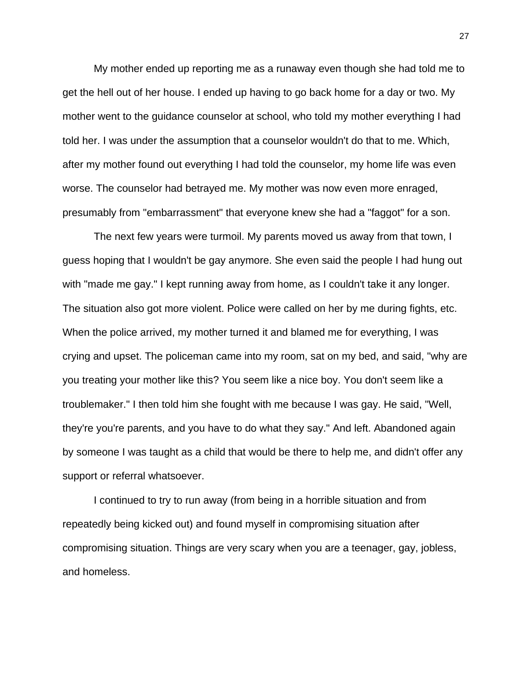My mother ended up reporting me as a runaway even though she had told me to get the hell out of her house. I ended up having to go back home for a day or two. My mother went to the guidance counselor at school, who told my mother everything I had told her. I was under the assumption that a counselor wouldn't do that to me. Which, after my mother found out everything I had told the counselor, my home life was even worse. The counselor had betrayed me. My mother was now even more enraged, presumably from "embarrassment" that everyone knew she had a "faggot" for a son.

The next few years were turmoil. My parents moved us away from that town, I guess hoping that I wouldn't be gay anymore. She even said the people I had hung out with "made me gay." I kept running away from home, as I couldn't take it any longer. The situation also got more violent. Police were called on her by me during fights, etc. When the police arrived, my mother turned it and blamed me for everything, I was crying and upset. The policeman came into my room, sat on my bed, and said, "why are you treating your mother like this? You seem like a nice boy. You don't seem like a troublemaker." I then told him she fought with me because I was gay. He said, "Well, they're you're parents, and you have to do what they say." And left. Abandoned again by someone I was taught as a child that would be there to help me, and didn't offer any support or referral whatsoever.

I continued to try to run away (from being in a horrible situation and from repeatedly being kicked out) and found myself in compromising situation after compromising situation. Things are very scary when you are a teenager, gay, jobless, and homeless.

27